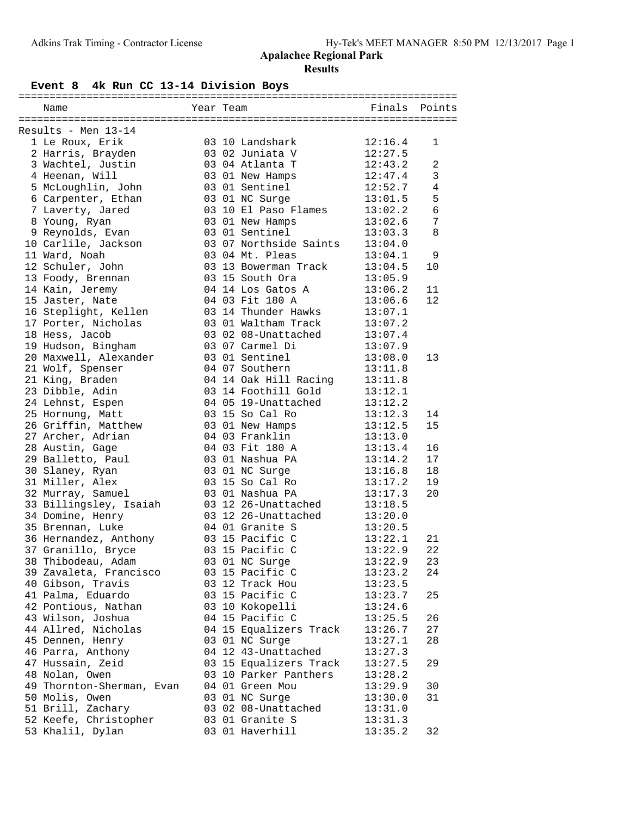# **Event 8 4k Run CC 13-14 Division Boys**

| Name                      | Year Team |                        | Finals  | Points         |
|---------------------------|-----------|------------------------|---------|----------------|
|                           |           |                        |         |                |
| Results - Men 13-14       |           |                        |         |                |
| 1 Le Roux, Erik           |           | 03 10 Landshark        | 12:16.4 | 1              |
| 2 Harris, Brayden         |           | 03 02 Juniata V        | 12:27.5 |                |
| 3 Wachtel, Justin         |           | 03 04 Atlanta T        | 12:43.2 | $\overline{a}$ |
| 4 Heenan, Will            |           | 03 01 New Hamps        | 12:47.4 | $\mathbf{3}$   |
| 5 McLoughlin, John        |           | 03 01 Sentinel         | 12:52.7 | $\overline{4}$ |
| 6 Carpenter, Ethan        |           | 03 01 NC Surge         | 13:01.5 | 5              |
| 7 Laverty, Jared          |           | 03 10 El Paso Flames   | 13:02.2 | $\epsilon$     |
| 8 Young, Ryan             |           | 03 01 New Hamps        | 13:02.6 | 7              |
| 9 Reynolds, Evan          |           | 03 01 Sentinel         | 13:03.3 | 8              |
| 10 Carlile, Jackson       |           | 03 07 Northside Saints | 13:04.0 |                |
| 11 Ward, Noah             |           | 03 04 Mt. Pleas        | 13:04.1 | 9              |
| 12 Schuler, John          |           | 03 13 Bowerman Track   | 13:04.5 | 10             |
| 13 Foody, Brennan         |           | 03 15 South Ora        | 13:05.9 |                |
| 14 Kain, Jeremy           |           | 04 14 Los Gatos A      | 13:06.2 | 11             |
| 15 Jaster, Nate           |           | 04 03 Fit 180 A        | 13:06.6 | 12             |
|                           |           | 03 14 Thunder Hawks    | 13:07.1 |                |
| 16 Steplight, Kellen      |           |                        |         |                |
| 17 Porter, Nicholas       |           | 03 01 Waltham Track    | 13:07.2 |                |
| 18 Hess, Jacob            |           | 03 02 08-Unattached    | 13:07.4 |                |
| 19 Hudson, Bingham        |           | 03 07 Carmel Di        | 13:07.9 |                |
| 20 Maxwell, Alexander     |           | 03 01 Sentinel         | 13:08.0 | 13             |
| 21 Wolf, Spenser          |           | 04 07 Southern         | 13:11.8 |                |
| 21 King, Braden           |           | 04 14 Oak Hill Racing  | 13:11.8 |                |
| 23 Dibble, Adin           |           | 03 14 Foothill Gold    | 13:12.1 |                |
| 24 Lehnst, Espen          |           | 04 05 19-Unattached    | 13:12.2 |                |
| 25 Hornung, Matt          |           | 03 15 So Cal Ro        | 13:12.3 | 14             |
| 26 Griffin, Matthew       |           | 03 01 New Hamps        | 13:12.5 | 15             |
| 27 Archer, Adrian         |           | 04 03 Franklin         | 13:13.0 |                |
| 28 Austin, Gage           |           | 04 03 Fit 180 A        | 13:13.4 | 16             |
| 29 Balletto, Paul         |           | 03 01 Nashua PA        | 13:14.2 | 17             |
| 30 Slaney, Ryan           |           | 03 01 NC Surge         | 13:16.8 | 18             |
| 31 Miller, Alex           |           | 03 15 So Cal Ro        | 13:17.2 | 19             |
| 32 Murray, Samuel         |           | 03 01 Nashua PA        | 13:17.3 | 20             |
| 33 Billingsley, Isaiah    |           | 03 12 26-Unattached    | 13:18.5 |                |
| 34 Domine, Henry          |           | 03 12 26-Unattached    | 13:20.0 |                |
| 35 Brennan, Luke          |           | 04 01 Granite S        | 13:20.5 |                |
| 36 Hernandez, Anthony     |           | 03 15 Pacific C        | 13:22.1 | 21             |
| 37 Granillo, Bryce        |           | 03 15 Pacific C        | 13:22.9 | 22             |
| 38 Thibodeau, Adam        |           | 03 01 NC Surge         | 13:22.9 | 23             |
| 39 Zavaleta, Francisco    |           | 03 15 Pacific C        | 13:23.2 | 24             |
| 40 Gibson, Travis         |           | 03 12 Track Hou        | 13:23.5 |                |
| 41 Palma, Eduardo         |           | 03 15 Pacific C        | 13:23.7 | 25             |
| 42 Pontious, Nathan       |           | 03 10 Kokopelli        | 13:24.6 |                |
| 43 Wilson, Joshua         |           | 04 15 Pacific C        | 13:25.5 | 26             |
| 44 Allred, Nicholas       |           | 04 15 Equalizers Track | 13:26.7 | 27             |
| 45 Dennen, Henry          |           | 03 01 NC Surge         | 13:27.1 | 28             |
| 46 Parra, Anthony         |           | 04 12 43-Unattached    | 13:27.3 |                |
| 47 Hussain, Zeid          |           | 03 15 Equalizers Track | 13:27.5 | 29             |
| 48 Nolan, Owen            |           | 03 10 Parker Panthers  | 13:28.2 |                |
| 49 Thornton-Sherman, Evan |           | 04 01 Green Mou        | 13:29.9 | 30             |
|                           |           |                        |         |                |
| 50 Molis, Owen            |           | 03 01 NC Surge         | 13:30.0 | 31             |
| 51 Brill, Zachary         |           | 03 02 08-Unattached    | 13:31.0 |                |
| 52 Keefe, Christopher     |           | 03 01 Granite S        | 13:31.3 |                |
| 53 Khalil, Dylan          |           | 03 01 Haverhill        | 13:35.2 | 32             |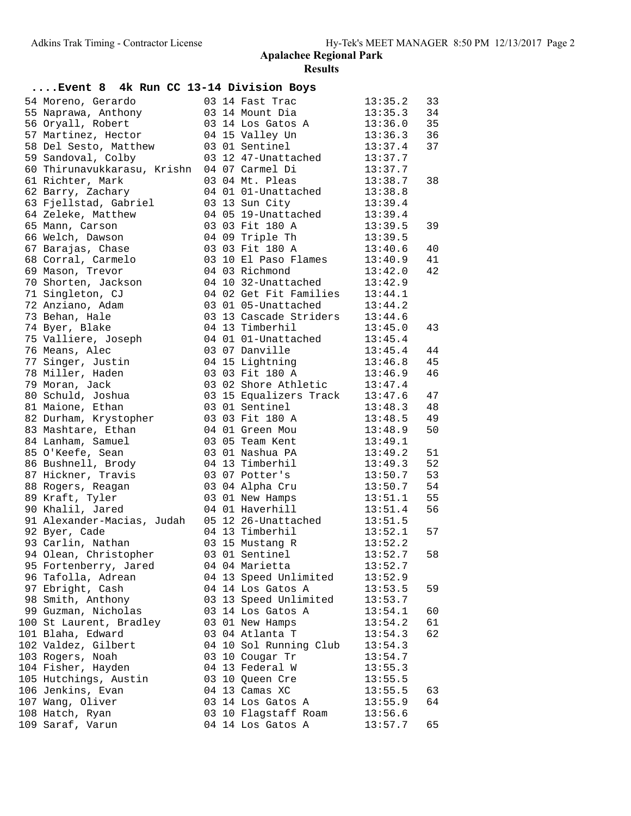| Event 8 4k Run CC 13-14 Division Boys       |  |                                |         |    |
|---------------------------------------------|--|--------------------------------|---------|----|
| 54 Moreno, Gerardo                          |  | 03 14 Fast Trac                | 13:35.2 | 33 |
| 55 Naprawa, Anthony                         |  | 03 14 Mount Dia                | 13:35.3 | 34 |
| 56 Oryall, Robert                           |  | 03 14 Los Gatos A              | 13:36.0 | 35 |
| 57 Martinez, Hector                         |  | 04 15 Valley Un                | 13:36.3 | 36 |
| 58 Del Sesto, Matthew                       |  | 03 01 Sentinel                 | 13:37.4 | 37 |
| 59 Sandoval, Colby                          |  | 03 12 47-Unattached            | 13:37.7 |    |
| 60 Thirunavukkarasu, Krishn 04 07 Carmel Di |  |                                | 13:37.7 |    |
| 61 Richter, Mark                            |  | 03 04 Mt. Pleas                | 13:38.7 | 38 |
| 62 Barry, Zachary                           |  | 04 01 01-Unattached            | 13:38.8 |    |
| 63 Fjellstad, Gabriel                       |  | 03 13 Sun City                 | 13:39.4 |    |
| 64 Zeleke, Matthew                          |  | 04 05 19-Unattached            | 13:39.4 |    |
| 65 Mann, Carson                             |  | 03 03 Fit 180 A                | 13:39.5 | 39 |
| 66 Welch, Dawson                            |  | 04 09 Triple Th                | 13:39.5 |    |
| 67 Barajas, Chase                           |  | 03 03 Fit 180 A                | 13:40.6 | 40 |
| 68 Corral, Carmelo                          |  | 03 10 El Paso Flames           | 13:40.9 | 41 |
| 69 Mason, Trevor                            |  | 04 03 Richmond                 | 13:42.0 | 42 |
| 70 Shorten, Jackson                         |  | 04 10 32-Unattached            | 13:42.9 |    |
| 71 Singleton, CJ                            |  | 04 02 Get Fit Families 13:44.1 |         |    |
| 72 Anziano, Adam                            |  | 03 01 05-Unattached            | 13:44.2 |    |
| 73 Behan, Hale                              |  | 03 13 Cascade Striders         | 13:44.6 |    |
| 74 Byer, Blake                              |  | 04 13 Timberhil                | 13:45.0 | 43 |
| 75 Valliere, Joseph                         |  | 04 01 01-Unattached            | 13:45.4 |    |
| 76 Means, Alec                              |  | 03 07 Danville                 | 13:45.4 | 44 |
| 77 Singer, Justin                           |  | 04 15 Lightning                | 13:46.8 | 45 |
| 78 Miller, Haden                            |  | 03 03 Fit 180 A                | 13:46.9 | 46 |
| 79 Moran, Jack                              |  | 03 02 Shore Athletic           | 13:47.4 |    |
| 80 Schuld, Joshua                           |  | 03 15 Equalizers Track 13:47.6 |         | 47 |
| 81 Maione, Ethan                            |  | 03 01 Sentinel                 | 13:48.3 | 48 |
| 82 Durham, Krystopher                       |  | 03 03 Fit 180 A                | 13:48.5 | 49 |
| 83 Mashtare, Ethan                          |  | 04 01 Green Mou                | 13:48.9 | 50 |
| 84 Lanham, Samuel                           |  | 03 05 Team Kent                | 13:49.1 |    |
| 85 O'Keefe, Sean                            |  | 03 01 Nashua PA                | 13:49.2 | 51 |
| 86 Bushnell, Brody                          |  | 04 13 Timberhil                | 13:49.3 | 52 |
| 87 Hickner, Travis                          |  | 03 07 Potter's                 | 13:50.7 | 53 |
| 88 Rogers, Reagan                           |  | 03 04 Alpha Cru                | 13:50.7 | 54 |
| 89 Kraft, Tyler                             |  | 03 01 New Hamps                | 13:51.1 | 55 |
| 90 Khalil, Jared                            |  | 04 01 Haverhill                | 13:51.4 | 56 |
| 91 Alexander-Macias, Judah                  |  | 05 12 26-Unattached            | 13:51.5 |    |
| 92 Byer, Cade                               |  | 04 13 Timberhil                | 13:52.1 | 57 |
| 93 Carlin, Nathan                           |  | 03 15 Mustang R                | 13:52.2 |    |
| 94 Olean, Christopher                       |  | 03 01 Sentinel                 | 13:52.7 | 58 |
| 95 Fortenberry, Jared                       |  | 04 04 Marietta                 | 13:52.7 |    |
| 96 Tafolla, Adrean                          |  | 04 13 Speed Unlimited          | 13:52.9 |    |
| 97 Ebright, Cash                            |  | 04 14 Los Gatos A              | 13:53.5 | 59 |
| 98 Smith, Anthony                           |  | 03 13 Speed Unlimited          | 13:53.7 |    |
| 99 Guzman, Nicholas                         |  | 03 14 Los Gatos A              | 13:54.1 | 60 |
| 100 St Laurent, Bradley                     |  | 03 01 New Hamps                | 13:54.2 | 61 |
| 101 Blaha, Edward                           |  | 03 04 Atlanta T                | 13:54.3 | 62 |
| 102 Valdez, Gilbert                         |  | 04 10 Sol Running Club         | 13:54.3 |    |
| 103 Rogers, Noah                            |  | 03 10 Cougar Tr                | 13:54.7 |    |
| 104 Fisher, Hayden                          |  | 04 13 Federal W                | 13:55.3 |    |
| 105 Hutchings, Austin                       |  | 03 10 Queen Cre                | 13:55.5 |    |
| 106 Jenkins, Evan                           |  | 04 13 Camas XC                 | 13:55.5 | 63 |
| 107 Wang, Oliver                            |  | 03 14 Los Gatos A              | 13:55.9 | 64 |
| 108 Hatch, Ryan                             |  | 03 10 Flagstaff Roam           | 13:56.6 |    |
| 109 Saraf, Varun                            |  | 04 14 Los Gatos A              | 13:57.7 | 65 |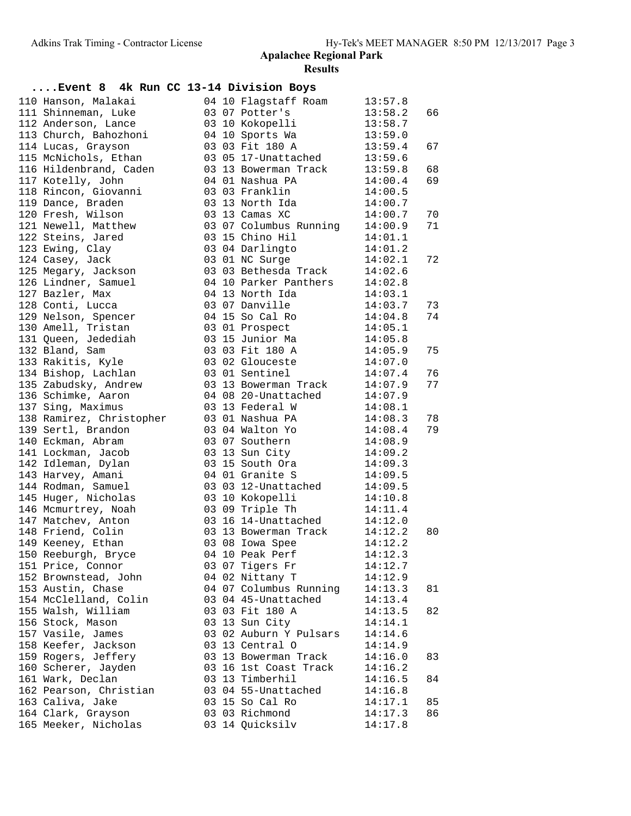| Event 8 4k Run CC 13-14 Division Boys                |  |                                                                                                                      |                    |    |
|------------------------------------------------------|--|----------------------------------------------------------------------------------------------------------------------|--------------------|----|
| 110 Hanson, Malakai                                  |  | 04 10 Flagstaff Roam 13:57.8                                                                                         |                    |    |
| 111 Shinneman, Luke                                  |  |                                                                                                                      |                    | 66 |
| 112 Anderson, Lance                                  |  |                                                                                                                      |                    |    |
| 113 Church, Bahozhoni                                |  |                                                                                                                      |                    |    |
| 114 Lucas, Grayson                                   |  | 03 03 Fit 180 A 13:59.4                                                                                              |                    | 67 |
| 115 McNichols, Ethan                                 |  | 03 05 17-Unattached 13:59.6                                                                                          |                    |    |
| 116 Hildenbrand, Caden                               |  | 03 13 Bowerman Track $13:59.8$                                                                                       |                    | 68 |
| 117 Kotelly, John                                    |  |                                                                                                                      | 14:00.4            | 69 |
| 118 Rincon, Giovanni                                 |  | $03$ 13 bowding.<br>04 01 Nashua PA<br>03 03 Franklin                                                                | 14:00.5            |    |
| 119 Dance, Braden                                    |  | $03$ 13 North Ida $14:00.7$                                                                                          |                    |    |
| 120 Fresh, Wilson                                    |  | 03 13 Camas XC                                                                                                       | 14:00.7            | 70 |
| 121 Newell, Matthew 63 07 Columbus Running 14:00.9   |  |                                                                                                                      |                    | 71 |
| 122 Steins, Jared                                    |  | 03 15 Chino Hil                                                                                                      | 14:01.1            |    |
| 123 Ewing, Clay                                      |  |                                                                                                                      |                    |    |
| 124 Casey, Jack                                      |  | 03 04 Darlingto 14:01.2<br>03 01 NC Surge 14:02.1<br>03 01 NC Surge                                                  |                    | 72 |
| 125 Megary, Jackson                                  |  | 03 03 Bethesda Track $14:02.6$                                                                                       |                    |    |
| 126 Lindner, Samuel 10 94 10 Parker Panthers 14:02.8 |  |                                                                                                                      |                    |    |
| 127 Bazler, Max                                      |  | 04 13 North Ida                                                                                                      | 14:03.1            |    |
| 128 Conti, Lucca                                     |  | 03 07 Danville 14:03.7                                                                                               |                    | 73 |
| 129 Nelson, Spencer                                  |  | 04 15 So Cal Ro                                                                                                      |                    | 74 |
| 130 Amell, Tristan                                   |  |                                                                                                                      | 14:04.8<br>14:05.1 |    |
| 131 Queen, Jedediah                                  |  | 03 01 Prospect 14:05.1<br>03 15 Junior Ma 14:05.8                                                                    |                    |    |
| 132 Bland, Sam                                       |  | 03 03 Fit 180 A 14:05.9                                                                                              |                    | 75 |
| 133 Rakitis, Kyle                                    |  | 03 02 Glouceste 14:07.0                                                                                              |                    |    |
| 134 Bishop, Lachlan                                  |  | 03 01 Sentinel 14:07.4                                                                                               |                    | 76 |
| 135 Zabudsky, Andrew                                 |  | 03    13    Bowerman Track    14:07.9<br>04    08    20-Unattached    14:07.9<br>03    13    Federal    W    14:08.1 |                    | 77 |
| 136 Schimke, Aaron                                   |  |                                                                                                                      |                    |    |
| 137 Sing, Maximus                                    |  |                                                                                                                      |                    |    |
| 138 Ramirez, Christopher       03 01 Nashua PA       |  |                                                                                                                      | 14:08.3            | 78 |
| 139 Sertl, Brandon                                   |  | 03 04 Walton Yo 14:08.4                                                                                              |                    | 79 |
| 140 Eckman, Abram                                    |  | 03 07 Southern 14:08.9                                                                                               |                    |    |
| 141 Lockman, Jacob                                   |  | 03 13 Sun City 14:09.2<br>03 15 South Ora 14:09.3                                                                    |                    |    |
| 142 Idleman, Dylan                                   |  | 03 15 South Ora<br>04 01 Granite S                                                                                   |                    |    |
| 143 Harvey, Amani                                    |  | 03 03 12-Unattached 14:09.5                                                                                          | 14:09.5            |    |
| 144 Rodman, Samuel                                   |  |                                                                                                                      |                    |    |
| 146 Mcmurtrey, Noah                                  |  |                                                                                                                      |                    |    |
| 147 Matchev, Anton                                   |  | 03 09 Triple Th 14:11.4                                                                                              |                    |    |
| 148 Friend, Colin                                    |  | 03 16 14-Unattached<br>00 10 14-Unattached 14:12.0<br>03 13 Bowerman Track 14:12.2<br>03 08 Iowa Spee                |                    | 80 |
| 149 Keeney, Ethan                                    |  | 03 08 Iowa Spee 14:12.2                                                                                              |                    |    |
| 150 Reeburgh, Bryce                                  |  | 04 10 Peak Perf                                                                                                      | 14:12.3            |    |
| 151 Price, Connor                                    |  | 03 07 Tigers Fr                                                                                                      | 14:12.7            |    |
| 152 Brownstead, John                                 |  | 04 02 Nittany T                                                                                                      | 14:12.9            |    |
| 153 Austin, Chase                                    |  | 04 07 Columbus Running                                                                                               | 14:13.3            | 81 |
| 154 McClelland, Colin                                |  | 03 04 45-Unattached                                                                                                  | 14:13.4            |    |
| 155 Walsh, William                                   |  | 03 03 Fit 180 A                                                                                                      | 14:13.5            | 82 |
| 156 Stock, Mason                                     |  | 03 13 Sun City                                                                                                       | 14:14.1            |    |
| 157 Vasile, James                                    |  | 03 02 Auburn Y Pulsars                                                                                               | 14:14.6            |    |
| 158 Keefer, Jackson                                  |  | 03 13 Central O                                                                                                      | 14:14.9            |    |
| 159 Rogers, Jeffery                                  |  | 03 13 Bowerman Track                                                                                                 | 14:16.0            | 83 |
| 160 Scherer, Jayden                                  |  | 03 16 1st Coast Track                                                                                                | 14:16.2            |    |
| 161 Wark, Declan                                     |  | 03 13 Timberhil                                                                                                      | 14:16.5            | 84 |
| 162 Pearson, Christian                               |  | 03 04 55-Unattached                                                                                                  | 14:16.8            |    |
| 163 Caliva, Jake                                     |  | 03 15 So Cal Ro                                                                                                      | 14:17.1            | 85 |
| 164 Clark, Grayson                                   |  | 03 03 Richmond                                                                                                       | 14:17.3            | 86 |
| 165 Meeker, Nicholas                                 |  | 03 14 Quicksilv                                                                                                      | 14:17.8            |    |
|                                                      |  |                                                                                                                      |                    |    |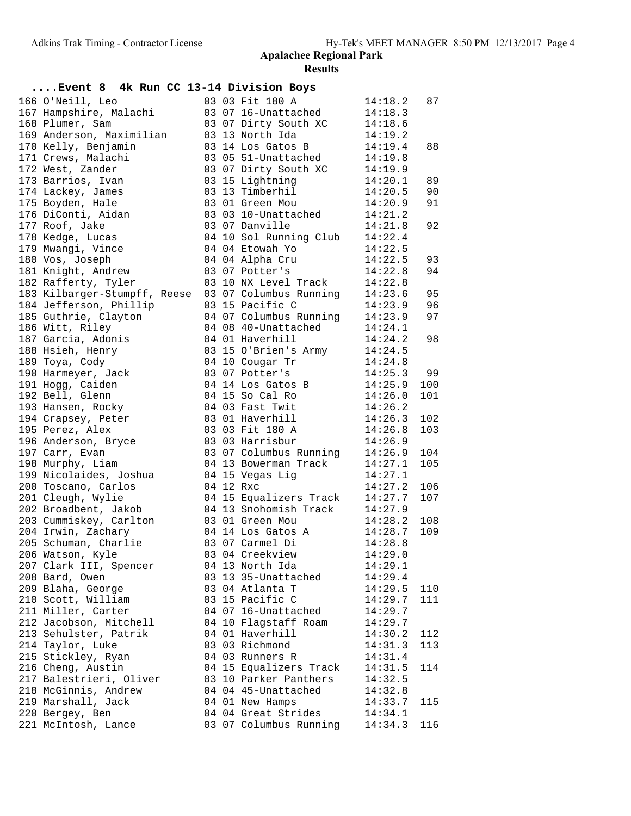| Event 8 4k Run CC 13-14 Division Boys |  |                                |         |     |
|---------------------------------------|--|--------------------------------|---------|-----|
| 166 O'Neill, Leo                      |  | 03 03 Fit 180 A                | 14:18.2 | 87  |
| 167 Hampshire, Malachi                |  | 03 07 16-Unattached            | 14:18.3 |     |
| 168 Plumer, Sam                       |  | 03 07 Dirty South XC           | 14:18.6 |     |
| 169 Anderson, Maximilian              |  | 03 13 North Ida                | 14:19.2 |     |
| 170 Kelly, Benjamin                   |  | 03 14 Los Gatos B 14:19.4      |         | 88  |
| 171 Crews, Malachi                    |  | 03 05 51-Unattached 14:19.8    |         |     |
| 172 West, Zander                      |  | 03 07 Dirty South XC 14:19.9   |         |     |
| 173 Barrios, Ivan                     |  | 03 15 Lightning                | 14:20.1 | 89  |
| 174 Lackey, James                     |  | 03 13 Timberhil                | 14:20.5 | 90  |
| 175 Boyden, Hale                      |  | 03 01 Green Mou                | 14:20.9 | 91  |
| 176 DiConti, Aidan                    |  | 03 03 10-Unattached 14:21.2    |         |     |
| 177 Roof, Jake                        |  | 03 07 Danville                 | 14:21.8 | 92  |
| 178 Kedge, Lucas                      |  | 04 10 Sol Running Club 14:22.4 |         |     |
| 179 Mwangi, Vince                     |  | 04 04 Etowah Yo                | 14:22.5 |     |
| 180 Vos, Joseph                       |  | 04 04 Alpha Cru                | 14:22.5 | 93  |
| 181 Knight, Andrew                    |  | 03 07 Potter's                 | 14:22.8 | 94  |
| 182 Rafferty, Tyler                   |  | 03 10 NX Level Track 14:22.8   |         |     |
| 183 Kilbarger-Stumpff, Reese          |  | 03 07 Columbus Running 14:23.6 |         | 95  |
| 184 Jefferson, Phillip                |  | 03 15 Pacific C                | 14:23.9 | 96  |
| 185 Guthrie, Clayton                  |  | 04 07 Columbus Running 14:23.9 |         | 97  |
| 186 Witt, Riley                       |  | 04 08 40-Unattached            | 14:24.1 |     |
| 187 Garcia, Adonis                    |  | 04 01 Haverhill                | 14:24.2 | 98  |
| 188 Hsieh, Henry                      |  | 03 15 O'Brien's Army 14:24.5   |         |     |
| 189 Toya, Cody                        |  | 04 10 Cougar Tr $14:24.8$      |         |     |
| 190 Harmeyer, Jack                    |  | 03 07 Potter's<br>14:25.3      |         | 99  |
| 191 Hogg, Caiden                      |  | 04 14 Los Gatos B              | 14:25.9 | 100 |
| 192 Bell, Glenn                       |  | 04 15 So Cal Ro                | 14:26.0 | 101 |
| 193 Hansen, Rocky                     |  | 04 03 Fast Twit                | 14:26.2 |     |
| 194 Crapsey, Peter                    |  | 03 01 Haverhill                | 14:26.3 | 102 |
| 195 Perez, Alex                       |  | 03 03 Fit 180 A                | 14:26.8 | 103 |
| 196 Anderson, Bryce                   |  | 03 03 Harrisbur                | 14:26.9 |     |
| 197 Carr, Evan                        |  | 03 07 Columbus Running 14:26.9 |         | 104 |
| 198 Murphy, Liam                      |  | 04 13 Bowerman Track           | 14:27.1 | 105 |
| 199 Nicolaides, Joshua                |  | 04 15 Vegas Lig                | 14:27.1 |     |
| 200 Toscano, Carlos                   |  | 04 12 Rxc                      | 14:27.2 | 106 |
| 201 Cleugh, Wylie                     |  | 04 15 Equalizers Track         | 14:27.7 | 107 |
| 202 Broadbent, Jakob                  |  | 04 13 Snohomish Track          | 14:27.9 |     |
| 203 Cummiskey, Carlton                |  | 03 01 Green Mou                | 14:28.2 | 108 |
| 204 Irwin, Zachary                    |  | 04 14 Los Gatos A              | 14:28.7 | 109 |
| 205 Schuman, Charlie                  |  | 03 07 Carmel Di                | 14:28.8 |     |
| 206 Watson, Kyle                      |  | 03 04 Creekview                | 14:29.0 |     |
| 207 Clark III, Spencer                |  | 04 13 North Ida                | 14:29.1 |     |
| 208 Bard, Owen                        |  | 03 13 35-Unattached            | 14:29.4 |     |
| 209 Blaha, George                     |  | 03 04 Atlanta T                | 14:29.5 | 110 |
| 210 Scott, William                    |  | 03 15 Pacific C                | 14:29.7 | 111 |
| 211 Miller, Carter                    |  | 04 07 16-Unattached            | 14:29.7 |     |
| 212 Jacobson, Mitchell                |  | 04 10 Flagstaff Roam           | 14:29.7 |     |
| 213 Sehulster, Patrik                 |  | 04 01 Haverhill                | 14:30.2 | 112 |
| 214 Taylor, Luke                      |  | 03 03 Richmond                 | 14:31.3 | 113 |
| 215 Stickley, Ryan                    |  | 04 03 Runners R                | 14:31.4 |     |
| 216 Cheng, Austin                     |  | 04 15 Equalizers Track         | 14:31.5 | 114 |
| 217 Balestrieri, Oliver               |  | 03 10 Parker Panthers          | 14:32.5 |     |
| 218 McGinnis, Andrew                  |  | 04 04 45-Unattached            | 14:32.8 |     |
| 219 Marshall, Jack                    |  | 04 01 New Hamps                | 14:33.7 | 115 |
| 220 Bergey, Ben                       |  | 04 04 Great Strides            | 14:34.1 |     |
| 221 McIntosh, Lance                   |  | 03 07 Columbus Running         | 14:34.3 | 116 |
|                                       |  |                                |         |     |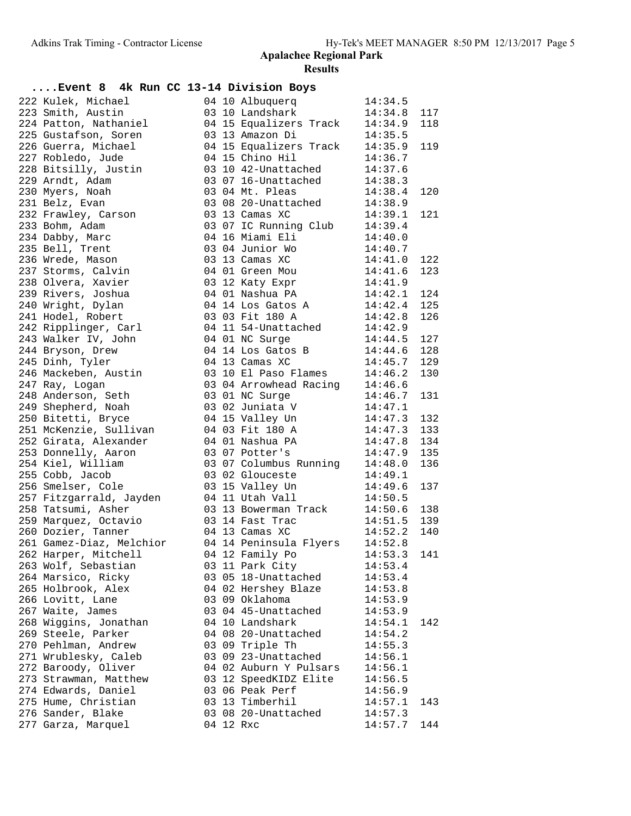| Event 8 4k Run CC 13-14 Division Boys |  |                                                                                                  |                        |     |
|---------------------------------------|--|--------------------------------------------------------------------------------------------------|------------------------|-----|
| 222 Kulek, Michael                    |  | 04 10 Albuquerq<br>03 10 Landshark                                                               | 14:34.5                |     |
| 223 Smith, Austin                     |  |                                                                                                  | 14:34.8                | 117 |
| 224 Patton, Nathaniel                 |  | 04 15 Equalizers Track 14:34.9                                                                   |                        | 118 |
| 225 Gustafson, Soren                  |  | 03 13 Amazon Di                                                                                  | 14:35.5                |     |
| 226 Guerra, Michael                   |  | 04 15 Equalizers Track                                                                           | 14:35.9                | 119 |
| 227 Robledo, Jude                     |  | 04 15 Chino Hil                                                                                  | 14:36.7                |     |
| 228 Bitsilly, Justin                  |  | 03 10 42-Unattached 14:37.6<br>03 07 16-Unattached 14:38.3                                       |                        |     |
| 229 Arndt, Adam                       |  | 03 07 16-Unattached                                                                              | 14:38.3                |     |
| 230 Myers, Noah                       |  | 03 04 Mt. Pleas                                                                                  | 14:38.4                | 120 |
| 231 Belz, Evan                        |  | 03 08 20-Unattached                                                                              | 14:38.9                |     |
| 232 Frawley, Carson                   |  | 03 13 Camas XC                                                                                   | 14:39.1                | 121 |
| 233 Bohm, Adam                        |  | 03 07 IC Running Club                                                                            | 14:39.4                |     |
| 234 Dabby, Marc                       |  | 04 16 Miami Eli                                                                                  | 14:40.0                |     |
| 235 Bell, Trent                       |  | 03 04 Junior Wo                                                                                  | 14:40.7                |     |
| 236 Wrede, Mason                      |  | 03 13 Camas XC                                                                                   | 14:41.0                | 122 |
| 237 Storms, Calvin                    |  | 04 01 Green Mou                                                                                  | 14:41.6                | 123 |
| 238 Olvera, Xavier                    |  | 03 12 Katy Expr                                                                                  | 14:41.9                |     |
| 239 Rivers, Joshua                    |  | 04 01 Nashua PA                                                                                  | 14:42.1                | 124 |
| 240 Wright, Dylan                     |  | 04 14 Los Gatos A                                                                                |                        | 125 |
| 241 Hodel, Robert                     |  | 03 03 Fit 180 A                                                                                  | $14:42.4$<br>$14:42.8$ | 126 |
| 242 Ripplinger, Carl                  |  | 04 11 54-Unattached 14:42.9                                                                      |                        |     |
| 243 Walker IV, John                   |  | 04 01 NC Surge                                                                                   | 14:44.5                | 127 |
| 244 Bryson, Drew                      |  | 04 14 Los Gatos B                                                                                | 14:44.6                | 128 |
| 245 Dinh, Tyler                       |  | 04 13 Camas XC                                                                                   | 14:45.7                | 129 |
| 246 Mackeben, Austin                  |  | 03 04 Arrowhead Racing 14:46.2<br>03 01 NC Surge 14:46.6<br>03 01 NC Surge 14:46 7<br>03 02 Time |                        | 130 |
| 247 Ray, Logan                        |  |                                                                                                  |                        |     |
| 248 Anderson, Seth                    |  |                                                                                                  |                        | 131 |
| 249 Shepherd, Noah                    |  | 03 02 Juniata V                                                                                  | 14:47.1                |     |
| 250 Bitetti, Bryce                    |  | 04 15 Valley Un                                                                                  | 14:47.3                | 132 |
| 251 McKenzie, Sullivan                |  | 04 03 Fit 180 A                                                                                  | 14:47.3                | 133 |
| 252 Girata, Alexander                 |  | 04 01 Nashua PA                                                                                  | 14:47.8                | 134 |
| 253 Donnelly, Aaron                   |  | 03 07 Potter's                                                                                   | 14:47.9                | 135 |
| 254 Kiel, William                     |  | 03 07 Columbus Running 14:48.0                                                                   |                        | 136 |
| 255 Cobb, Jacob                       |  | 03 02 Glouceste                                                                                  | 14:49.1                |     |
| 256 Smelser, Cole                     |  | 03 15 Valley Un                                                                                  | 14:49.6                | 137 |
| 257 Fitzgarrald, Jayden               |  | 04 11 Utah Vall                                                                                  | 14:50.5                |     |
| 258 Tatsumi, Asher                    |  |                                                                                                  |                        | 138 |
| 259 Marquez, Octavio                  |  | 03 13 Bowerman Track 14:50.6<br>03 14 Fast Trac 14:51.5                                          |                        | 139 |
| 260 Dozier, Tanner                    |  | 04 13 Camas XC                                                                                   | 14:52.2                | 140 |
| 261 Gamez-Diaz, Melchior              |  | 04 14 Peninsula Flyers 14:52.8                                                                   |                        |     |
| 262 Harper, Mitchell                  |  | 04 12 Family Po                                                                                  | 14:53.3                | 141 |
| 263 Wolf, Sebastian                   |  | 03 11 Park City                                                                                  | 14:53.4                |     |
| 264 Marsico, Ricky                    |  | 03 05 18-Unattached                                                                              | 14:53.4                |     |
| 265 Holbrook, Alex                    |  | 04 02 Hershey Blaze                                                                              | 14:53.8                |     |
| 266 Lovitt, Lane                      |  | 03 09 Oklahoma                                                                                   | 14:53.9                |     |
| 267 Waite, James                      |  | 03 04 45-Unattached                                                                              | 14:53.9                |     |
| 268 Wiggins, Jonathan                 |  | 04 10 Landshark                                                                                  | 14:54.1                | 142 |
| 269 Steele, Parker                    |  | 04 08 20-Unattached                                                                              | 14:54.2                |     |
| 270 Pehlman, Andrew                   |  | 03 09 Triple Th                                                                                  | 14:55.3                |     |
| 271 Wrublesky, Caleb                  |  | 03 09 23-Unattached                                                                              | 14:56.1                |     |
| 272 Baroody, Oliver                   |  | 04 02 Auburn Y Pulsars                                                                           | 14:56.1                |     |
| 273 Strawman, Matthew                 |  | 03 12 SpeedKIDZ Elite                                                                            | 14:56.5                |     |
| 274 Edwards, Daniel                   |  | 03 06 Peak Perf                                                                                  | 14:56.9                |     |
| 275 Hume, Christian                   |  | 03 13 Timberhil                                                                                  | 14:57.1                | 143 |
| 276 Sander, Blake                     |  | 03 08 20-Unattached                                                                              | 14:57.3                |     |
| 277 Garza, Marquel                    |  | 04 12 Rxc                                                                                        | 14:57.7                | 144 |
|                                       |  |                                                                                                  |                        |     |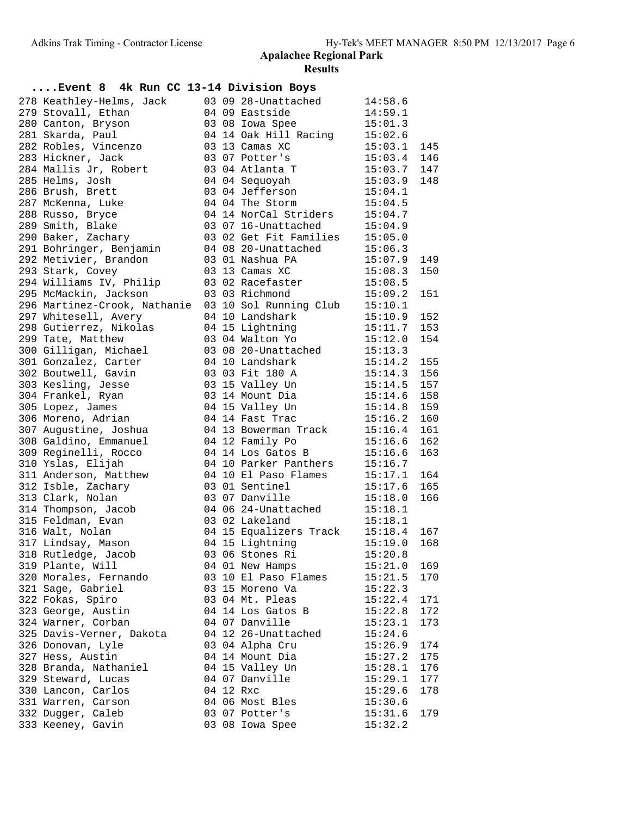## **....Event 8 4k Run CC 13-14 Division Boys**

| 278 Keathley-Helms, Jack                                    |  | 03 09 28-Unattached 14:58.6                                |                    |     |
|-------------------------------------------------------------|--|------------------------------------------------------------|--------------------|-----|
| 279 Stovall, Ethan                                          |  |                                                            |                    |     |
| 280 Canton, Bryson                                          |  | $\frac{1}{2}$ mass side<br>03 08 Iowa Spee                 | 14:59.1<br>15:01.3 |     |
| 281 Skarda, Paul                                            |  | 04 14 Oak Hill Racing 15:02.6                              |                    |     |
| 282 Robles, Vincenzo                                        |  | 03 13 Camas XC                                             | 15:03.1            | 145 |
| 283 Hickner, Jack                                           |  | 03 07 Potter's                                             | 15:03.4 146        |     |
| 284 Mallis Jr, Robert                                       |  | 03 04 Atlanta T                                            | $15:03.7$ 147      |     |
| 285 Helms, Josh                                             |  | 04 04 Sequoyah                                             | 15:03.9 148        |     |
| 286 Brush, Brett                                            |  | 03 04 Jefferson                                            | 15:04.1            |     |
| 287 McKenna, Luke                                           |  | 04 04 The Storm 15:04.5                                    |                    |     |
| 288 Russo, Bryce                                            |  | 04 14 NorCal Striders 15:04.7                              |                    |     |
| 289 Smith, Blake                                            |  | 03 07 16-Unattached                                        | 15:04.9            |     |
| 290 Baker, Zachary                                          |  | 03 02 Get Fit Families 15:05.0                             |                    |     |
| 291 Bohringer, Benjamin                                     |  |                                                            |                    |     |
| 292 Metivier, Brandon                                       |  | 04 08 20-Unattached 15:06.3<br>03 01 Nashua PA 15:07.9     |                    | 149 |
| 293 Stark, Covey                                            |  | 15:08.3<br>03 13 Camas XC                                  |                    | 150 |
| 294 Williams IV, Philip                                     |  | 03 02 Racefaster 15:08.5                                   |                    |     |
| 295 McMackin, Jackson                                       |  | 03 03 Richmond                                             | 15:09.2            | 151 |
| 296 Martinez-Crook, Nathanie 03 10 Sol Running Club 15:10.1 |  |                                                            |                    |     |
| 297 Whitesell, Avery                                        |  | 04 10 Landshark                                            | $15:10.9$ 152      |     |
| 298 Gutierrez, Nikolas                                      |  | 04 10 Landshark 15:10.9 152<br>04 15 Lightning 15:11.7 153 |                    |     |
| 299 Tate, Matthew                                           |  | 03 04 Walton Yo 15:12.0                                    |                    | 154 |
| 300 Gilligan, Michael                                       |  | 03 08 20-Unattached 15:13.3                                |                    |     |
| 301 Gonzalez, Carter                                        |  | 04 10 Landshark<br>$15:14.2$ 155                           |                    |     |
| 302 Boutwell, Gavin                                         |  | 03 03 Fit 180 A                                            | $15:14.3$ 156      |     |
| 303 Kesling, Jesse                                          |  |                                                            | $15:14.5$ 157      |     |
| 304 Frankel, Ryan                                           |  | 03 15 Valley Un<br>03 14 Mount Dia                         | $15:14.6$ 158      |     |
| 305 Lopez, James                                            |  | 04 15 Valley Un                                            | 15:14.8 159        |     |
| 306 Moreno, Adrian                                          |  | 04 14 Fast Trac                                            | 15:16.2            | 160 |
| 307 Augustine, Joshua                                       |  | 04 13 Bowerman Track 15:16.4                               |                    | 161 |
| 308 Galdino, Emmanuel                                       |  | 04 12 Family Po 15:16.6 162                                |                    |     |
| 309 Reginelli, Rocco                                        |  | 04 14 Los Gatos B                                          | 15:16.6            | 163 |
| 310 Yslas, Elijah                                           |  | 04 10 Parker Panthers $15:16.7$                            |                    |     |
| 311 Anderson, Matthew                                       |  | 04 10 El Paso Flames 15:17.1 164                           |                    |     |
| 312 Isble, Zachary                                          |  | 03 01 Sentinel 15:17.6                                     |                    | 165 |
| 313 Clark, Nolan                                            |  | 03 07 Danville                                             | 15:18.0            | 166 |
| 314 Thompson, Jacob                                         |  | 04 06 24-Unattached 15:18.1                                |                    |     |
| 315 Feldman, Evan                                           |  | 03 02 Lakeland                                             | 15:18.1            |     |
| 316 Walt, Nolan                                             |  | 04 15 Equalizers Track 15:18.4 167                         |                    |     |
| 317 Lindsay, Mason                                          |  | 04 15 Lightning                                            | $15:19.0$ 168      |     |
| 318 Rutledge, Jacob                                         |  | 03 06 Stones Ri                                            | 15:20.8            |     |
| 319 Plante, Will                                            |  | 04 01 New Hamps                                            | 15:21.0            | 169 |
| 320 Morales, Fernando                                       |  | 03 10 El Paso Flames                                       | 15:21.5            | 170 |
| 321 Sage, Gabriel                                           |  | 03 15 Moreno Va                                            | 15:22.3            |     |
| 322 Fokas, Spiro                                            |  | 03 04 Mt. Pleas                                            | 15:22.4            | 171 |
| 323 George, Austin                                          |  | 04 14 Los Gatos B                                          | 15:22.8            | 172 |
| 324 Warner, Corban                                          |  | 04 07 Danville                                             | 15:23.1            | 173 |
| 325 Davis-Verner, Dakota                                    |  | 04 12 26-Unattached                                        | 15:24.6            |     |
| 326 Donovan, Lyle                                           |  | 03 04 Alpha Cru                                            | 15:26.9            | 174 |
| 327 Hess, Austin                                            |  | 04 14 Mount Dia                                            | 15:27.2            | 175 |
|                                                             |  |                                                            |                    |     |
| 328 Branda, Nathaniel<br>329 Steward, Lucas                 |  | 04 15 Valley Un                                            | 15:28.1            | 176 |
|                                                             |  | 04 07 Danville                                             | 15:29.1            | 177 |
| 330 Lancon, Carlos                                          |  | 04 12 Rxc                                                  | 15:29.6            | 178 |
| 331 Warren, Carson                                          |  | 04 06 Most Bles                                            | 15:30.6            |     |
| 332 Dugger, Caleb                                           |  | 03 07 Potter's                                             | 15:31.6            | 179 |
| 333 Keeney, Gavin                                           |  | 03 08 Iowa Spee                                            | 15:32.2            |     |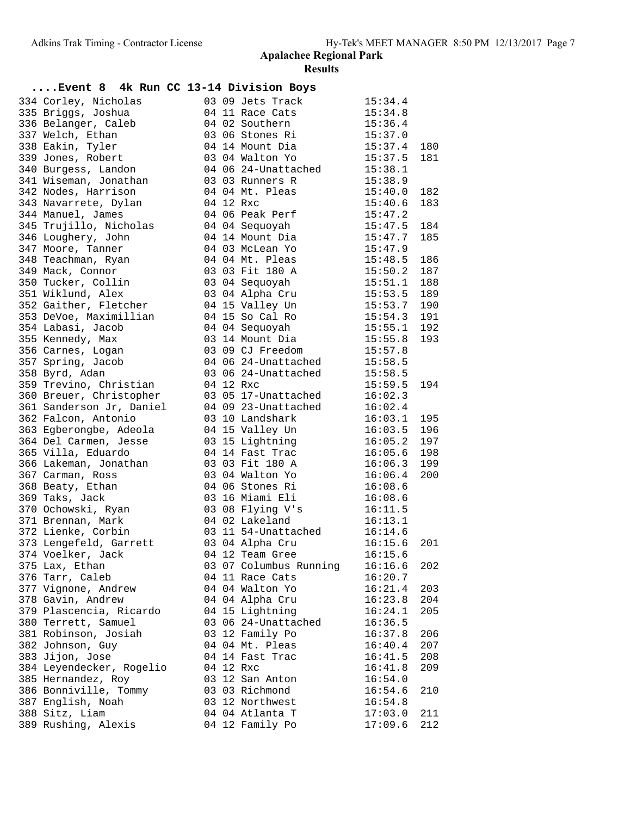| Event 8 4k Run CC 13-14 Division Boys                                           |           |                                                                         |               |     |
|---------------------------------------------------------------------------------|-----------|-------------------------------------------------------------------------|---------------|-----|
| 334 Corley, Nicholas                                                            |           | 03 09 Jets Track 15:34.4                                                |               |     |
| 335 Briggs, Joshua                                                              |           | 04 11 Race Cats                                                         | 15:34.8       |     |
| 336 Belanger, Caleb                                                             |           | 04 02 Southern                                                          | 15:36.4       |     |
| 337 Welch, Ethan                                                                |           | 03 06 Stones Ri                                                         | 15:37.0       |     |
| 338 Eakin, Tyler                                                                |           | 04 14 Mount Dia 15:37.4                                                 |               | 180 |
| 339 Jones, Robert                                                               |           | 03 04 Walton Yo 15:37.5                                                 |               | 181 |
| 340 Burgess, Landon                                                             |           | 04 06 24-Unattached 15:38.1                                             |               |     |
| 341 Wiseman, Jonathan                                                           |           | 03 03 Runners R                                                         | 15:38.9       |     |
| 342 Nodes, Harrison                                                             |           | 04 04 Mt. Pleas                                                         | 15:40.0 182   |     |
| 343 Navarrete, Dylan                                                            | 04 12 Rxc |                                                                         | 15:40.6       | 183 |
| 344 Manuel, James                                                               |           | 04 06 Peak Perf 15:47.2                                                 |               |     |
|                                                                                 |           |                                                                         |               | 184 |
| 346 Loughery, John                                                              |           | 04 14 Mount Dia                                                         | 15:47.7       | 185 |
| 347 Moore, Tanner                                                               |           | 04 03 McLean Yo                                                         | 15:47.9       |     |
| 348 Teachman, Ryan                                                              |           | 04 04 Mt. Pleas                                                         | 15:48.5 186   |     |
| 349 Mack, Connor                                                                |           | 03 03 Fit 180 A                                                         | $15:50.2$ 187 |     |
| 350 Tucker, Collin                                                              |           | 03 04 Sequoyah                                                          | 15:51.1 188   |     |
| 351 Wiklund, Alex                       03 04 Alpha Cru               15:53.5   |           |                                                                         |               | 189 |
| 352 Gaither, Fletcher                                                           |           | 04 15 Valley Un                                                         | 15:53.7 190   |     |
| 353 DeVoe, Maximillian                                                          |           | 04 15 So Cal Ro                                                         | $15:54.3$ 191 |     |
| 354 Labasi, Jacob                                                               |           | 04 04 Sequoyah                                                          | $15:55.1$ 192 |     |
| 355 Kennedy, Max                                                                |           | 03 14 Mount Dia                                                         | 15:55.8       | 193 |
| 356 Carnes, Logan                                                               |           | 03 09 CJ Freedom 15:57.8                                                |               |     |
| 357 Spring, Jacob                                                               |           | 04 06 24-Unattached 15:58.5                                             |               |     |
|                                                                                 |           |                                                                         |               |     |
| 358 Byrd, Adan                                                                  |           | 03 06 24-Unattached 15:58.5<br>04 12 Rxc                                |               |     |
| 359 Trevino, Christian                                                          |           |                                                                         | 15:59.5       | 194 |
| 360 Breuer, Christopher                                                         |           | 03 05 17-Unattached                                                     | 16:02.3       |     |
| 361 Sanderson Jr, Daniel                                                        |           | 04 09 23-Unattached                                                     | 16:02.4       |     |
| 362 Falcon, Antonio                                                             |           | 03 10 Landshark                                                         | 16:03.1       | 195 |
|                                                                                 |           |                                                                         |               |     |
| 364 Del Carmen, Jesse 63 15 Lightning                                           |           |                                                                         | $16:05.2$ 197 |     |
| 365 Villa, Eduardo                                                              |           | 04 14 Fast Trac                                                         | $16:05.6$ 198 |     |
| 366 Lakeman, Jonathan                                                           |           | 03 03 Fit 180 A<br>03 04 Walton Yo                                      | $16:06.3$ 199 |     |
| 367 Carman, Ross                                                                |           |                                                                         | 16:06.4       | 200 |
| 368 Beaty, Ethan                                                                |           | 04 06 Stones Ri                                                         | 16:08.6       |     |
| 369 Taks, Jack                                                                  |           | 03 16 Miami Eli 16:08.6                                                 |               |     |
| 370 Ochowski, Ryan                       03 08 Flying V's               16:11.5 |           |                                                                         |               |     |
| 371 Brennan, Mark                                                               |           | 04 02 Lakeland<br>04 02 Lakeland 16:13.1<br>03 11 54-Unattached 16:14.6 |               |     |
| 372 Lienke, Corbin                                                              |           |                                                                         |               |     |
| 373 Lengefeld, Garrett 63 04 Alpha Cru 16:15.6                                  |           |                                                                         |               | 201 |
| 374 Voelker, Jack                                                               |           | 04 12 Team Gree                                                         | 16:15.6       |     |
| 375 Lax, Ethan                                                                  |           | 03 07 Columbus Running                                                  | 16:16.6       | 202 |
| 376 Tarr, Caleb                                                                 |           | 04 11 Race Cats                                                         | 16:20.7       |     |
| 377 Vignone, Andrew                                                             |           | 04 04 Walton Yo                                                         | 16:21.4       | 203 |
| 378 Gavin, Andrew                                                               |           | 04 04 Alpha Cru                                                         | 16:23.8       | 204 |
| 379 Plascencia, Ricardo                                                         |           | 04 15 Lightning                                                         | 16:24.1       | 205 |
| 380 Terrett, Samuel                                                             |           | 03 06 24-Unattached                                                     | 16:36.5       |     |
| 381 Robinson, Josiah                                                            |           | 03 12 Family Po                                                         | 16:37.8       | 206 |
| 382 Johnson, Guy                                                                |           | 04 04 Mt. Pleas                                                         | 16:40.4       | 207 |
| 383 Jijon, Jose                                                                 |           | 04 14 Fast Trac                                                         | 16:41.5       | 208 |
| 384 Leyendecker, Rogelio                                                        |           | 04 12 Rxc                                                               | 16:41.8       | 209 |
| 385 Hernandez, Roy                                                              |           | 03 12 San Anton                                                         | 16:54.0       |     |
| 386 Bonniville, Tommy                                                           |           | 03 03 Richmond                                                          | 16:54.6       | 210 |
| 387 English, Noah                                                               |           | 03 12 Northwest                                                         | 16:54.8       |     |
| 388 Sitz, Liam                                                                  |           | 04 04 Atlanta T                                                         | 17:03.0       | 211 |
| 389 Rushing, Alexis                                                             |           | 04 12 Family Po                                                         | 17:09.6       | 212 |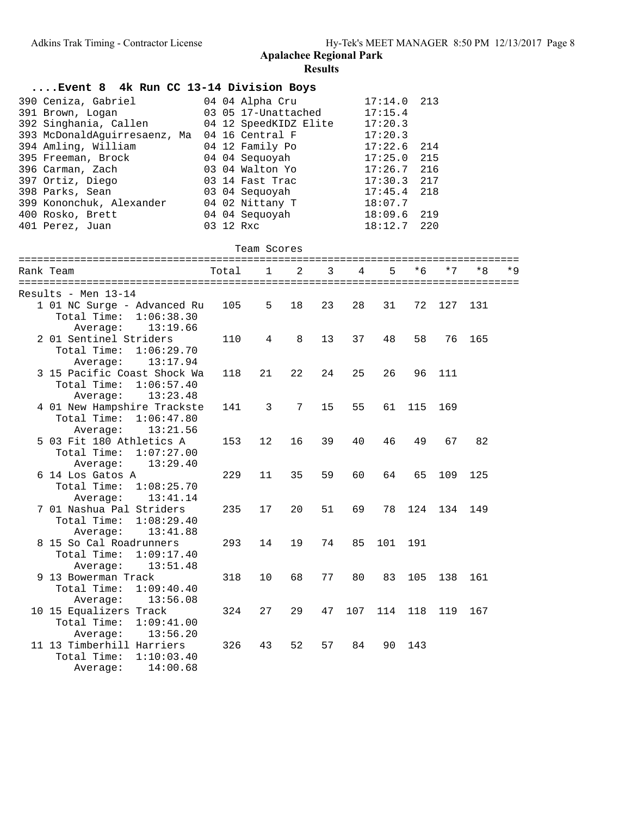| Event 8 4k Run CC 13-14 Division Boys                    |                                        |              |    |    |     |                    |      |      |     |       |
|----------------------------------------------------------|----------------------------------------|--------------|----|----|-----|--------------------|------|------|-----|-------|
| 390 Ceniza, Gabriel<br>391 Brown, Logan                  | 04 04 Alpha Cru<br>03 05 17-Unattached |              |    |    |     | 17:14.0<br>17:15.4 | 213  |      |     |       |
| 392 Singhania, Callen                                    | 04 12 SpeedKIDZ Elite                  |              |    |    |     | 17:20.3            |      |      |     |       |
| 393 McDonaldAguirresaenz, Ma<br>394 Amling, William      | 04 16 Central F<br>04 12 Family Po     |              |    |    |     | 17:20.3<br>17:22.6 | 214  |      |     |       |
| 395 Freeman, Brock                                       | 04 04 Sequoyah                         |              |    |    |     | 17:25.0            | 215  |      |     |       |
| 396 Carman, Zach                                         | 03 04 Walton Yo                        |              |    |    |     | 17:26.7            | 216  |      |     |       |
| 397 Ortiz, Diego                                         | 03 14 Fast Trac                        |              |    |    |     | 17:30.3            | 217  |      |     |       |
| 398 Parks, Sean                                          | 03 04 Sequoyah                         |              |    |    |     | 17:45.4            | 218  |      |     |       |
| 399 Kononchuk, Alexander                                 | 04 02 Nittany T                        |              |    |    |     | 18:07.7            |      |      |     |       |
| 400 Rosko, Brett                                         | 04 04 Sequoyah                         |              |    |    |     | 18:09.6            | 219  |      |     |       |
| 401 Perez, Juan                                          | 03 12 Rxc                              |              |    |    |     | 18:12.7            | 220  |      |     |       |
|                                                          |                                        | Team Scores  |    |    |     |                    |      |      |     |       |
| Rank Team                                                | Total                                  | $\mathbf{1}$ | 2  | 3  | 4   | 5                  | $*6$ | $*7$ | * 8 | $*$ 9 |
|                                                          |                                        |              |    |    |     |                    |      |      |     |       |
| Results - Men 13-14                                      |                                        |              |    |    |     |                    |      |      |     |       |
| 1 01 NC Surge - Advanced Ru                              | 105                                    | 5            | 18 | 23 | 28  | 31                 | 72   | 127  | 131 |       |
| Total Time:<br>1:06:38.30                                |                                        |              |    |    |     |                    |      |      |     |       |
| Average:<br>13:19.66                                     |                                        |              |    |    |     |                    |      |      |     |       |
| 2 01 Sentinel Striders                                   | 110                                    | 4            | 8  | 13 | 37  | 48                 | 58   | 76   | 165 |       |
| Total Time:<br>1:06:29.70                                |                                        |              |    |    |     |                    |      |      |     |       |
| Average:<br>13:17.94                                     |                                        |              |    |    |     |                    |      |      |     |       |
| 3 15 Pacific Coast Shock Wa                              | 118                                    | 21           | 22 | 24 | 25  | 26                 | 96   | 111  |     |       |
| Total Time:<br>1:06:57.40                                |                                        |              |    |    |     |                    |      |      |     |       |
| 13:23.48<br>Average:                                     |                                        |              |    |    |     |                    |      |      |     |       |
| 4 01 New Hampshire Trackste<br>Total Time:<br>1:06:47.80 | 141                                    | 3            | 7  | 15 | 55  | 61                 | 115  | 169  |     |       |
| Average:<br>13:21.56                                     |                                        |              |    |    |     |                    |      |      |     |       |
| 5 03 Fit 180 Athletics A                                 | 153                                    | 12           | 16 | 39 | 40  | 46                 | 49   | 67   | 82  |       |
| Total Time:<br>1:07:27.00                                |                                        |              |    |    |     |                    |      |      |     |       |
| Average:<br>13:29.40                                     |                                        |              |    |    |     |                    |      |      |     |       |
| 6 14 Los Gatos A                                         | 229                                    | 11           | 35 | 59 | 60  | 64                 | 65   | 109  | 125 |       |
| Total Time:<br>1:08:25.70                                |                                        |              |    |    |     |                    |      |      |     |       |
| Average:<br>13:41.14                                     |                                        |              |    |    |     |                    |      |      |     |       |
| 7 01 Nashua Pal Striders                                 | 235                                    | 17           | 20 | 51 | 69  | 78                 | 124  | 134  | 149 |       |
| Total Time:<br>1:08:29.40                                |                                        |              |    |    |     |                    |      |      |     |       |
| 13:41.88<br>Average:                                     |                                        |              |    |    |     |                    |      |      |     |       |
| 8 15 So Cal Roadrunners                                  | 293                                    | 14           | 19 | 74 |     | 85 101 191         |      |      |     |       |
| 1:09:17.40<br>Total Time:                                |                                        |              |    |    |     |                    |      |      |     |       |
| Average:<br>13:51.48                                     |                                        |              |    |    |     |                    |      |      |     |       |
| 9 13 Bowerman Track                                      | 318                                    | 10           | 68 | 77 | 80  | 83                 | 105  | 138  | 161 |       |
| Total Time:<br>1:09:40.40                                |                                        |              |    |    |     |                    |      |      |     |       |
| 13:56.08<br>Average:                                     |                                        |              |    |    |     |                    |      |      |     |       |
| 10 15 Equalizers Track                                   | 324                                    | 27           | 29 | 47 | 107 | 114                | 118  | 119  | 167 |       |
| Total Time:<br>1:09:41.00                                |                                        |              |    |    |     |                    |      |      |     |       |
| Average:<br>13:56.20                                     |                                        |              |    |    |     |                    |      |      |     |       |
| 11 13 Timberhill Harriers                                | 326                                    | 43           | 52 | 57 | 84  | 90                 | 143  |      |     |       |
| Total Time:<br>1:10:03.40<br>14:00.68                    |                                        |              |    |    |     |                    |      |      |     |       |
| Average:                                                 |                                        |              |    |    |     |                    |      |      |     |       |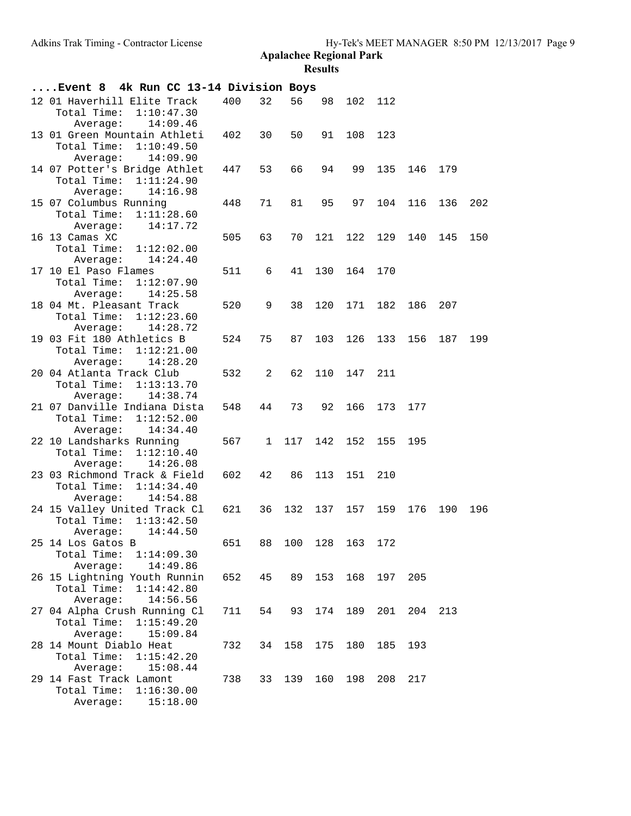| Event 8 4k Run CC 13-14 Division Boys                              |                        |     |    |     |                    |         |         |     |     |     |
|--------------------------------------------------------------------|------------------------|-----|----|-----|--------------------|---------|---------|-----|-----|-----|
| 12 01 Haverhill Elite Track<br>Total Time:<br>Average:             | 1:10:47.30<br>14:09.46 | 400 | 32 | 56  | 98                 | 102 112 |         |     |     |     |
| 13 01 Green Mountain Athleti<br>Total Time:<br>Average:            | 1:10:49.50<br>14:09.90 | 402 | 30 | 50  | 91                 | 108     | 123     |     |     |     |
| 14 07 Potter's Bridge Athlet<br>Total Time: 1:11:24.90<br>Average: | 14:16.98               | 447 | 53 | 66  | 94                 | 99      | 135     | 146 | 179 |     |
| 15 07 Columbus Running<br>Total Time:<br>Average:                  | 1:11:28.60<br>14:17.72 | 448 | 71 | 81  | 95                 | 97      | 104     | 116 | 136 | 202 |
| 16 13 Camas XC<br>Total Time:<br>Average:                          | 1:12:02.00<br>14:24.40 | 505 | 63 | 70  | 121                | 122     | 129     | 140 | 145 | 150 |
| 17 10 El Paso Flames<br>Total Time:<br>Average:                    | 1:12:07.90<br>14:25.58 | 511 | 6  | 41  | 130                | 164     | 170     |     |     |     |
| 18 04 Mt. Pleasant Track<br>Total Time:<br>Average:                | 1:12:23.60<br>14:28.72 | 520 | 9  | 38  | 120                | 171     | 182     | 186 | 207 |     |
| 19 03 Fit 180 Athletics B<br>Total Time:<br>Average:               | 1:12:21.00<br>14:28.20 | 524 | 75 | 87  | 103                | 126     | 133     | 156 | 187 | 199 |
| 20 04 Atlanta Track Club<br>Total Time:<br>Average:                | 1:13:13.70<br>14:38.74 | 532 | 2  | 62  | 110                | 147     | 211     |     |     |     |
| 21 07 Danville Indiana Dista<br>Total Time:<br>Average:            | 1:12:52.00<br>14:34.40 | 548 | 44 | 73  | 92                 | 166     | 173     | 177 |     |     |
| 22 10 Landsharks Running<br>Total Time:<br>Average:                | 1:12:10.40<br>14:26.08 | 567 | 1  | 117 | 142                | 152     | 155     | 195 |     |     |
| 23 03 Richmond Track & Field<br>Total Time:<br>Average:            | 1:14:34.40<br>14:54.88 | 602 | 42 | 86  | 113                | 151     | 210     |     |     |     |
| 24 15 Valley United Track Cl<br>Total Time:<br>Average:            | 1:13:42.50<br>14:44.50 | 621 | 36 |     | 132 137            | 157     | 159     | 176 | 190 | 196 |
| 25 14 Los Gatos B<br>Total Time:<br>Average:                       | 1:14:09.30<br>14:49.86 | 651 |    |     | 88 100 128 163 172 |         |         |     |     |     |
| 26 15 Lightning Youth Runnin<br>Total Time:<br>Average:            | 1:14:42.80<br>14:56.56 | 652 | 45 | 89  | 153                |         | 168 197 | 205 |     |     |
| 27 04 Alpha Crush Running Cl<br>Total Time:<br>Average:            | 1:15:49.20<br>15:09.84 | 711 | 54 | 93  | 174                | 189     | 201     | 204 | 213 |     |
| 28 14 Mount Diablo Heat<br>Total Time:<br>Average:                 | 1:15:42.20<br>15:08.44 | 732 | 34 | 158 | 175                | 180     | 185     | 193 |     |     |
| 29 14 Fast Track Lamont<br>Total Time:<br>Average:                 | 1:16:30.00<br>15:18.00 | 738 | 33 | 139 | 160                | 198     | 208     | 217 |     |     |